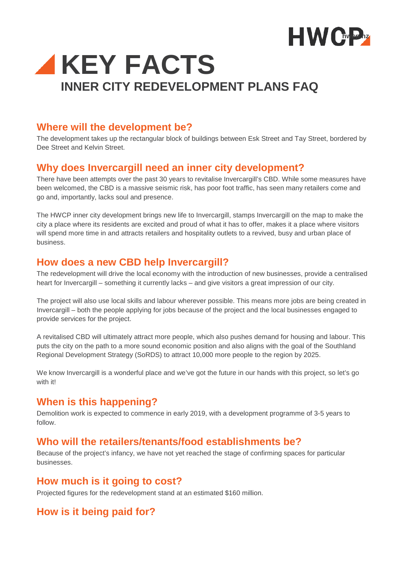



#### **Where will the development be?**

The development takes up the rectangular block of buildings between Esk Street and Tay Street, bordered by Dee Street and Kelvin Street.

#### **Why does Invercargill need an inner city development?**

There have been attempts over the past 30 years to revitalise Invercargill's CBD. While some measures have been welcomed, the CBD is a massive seismic risk, has poor foot traffic, has seen many retailers come and go and, importantly, lacks soul and presence.

The HWCP inner city development brings new life to Invercargill, stamps Invercargill on the map to make the city a place where its residents are excited and proud of what it has to offer, makes it a place where visitors will spend more time in and attracts retailers and hospitality outlets to a revived, busy and urban place of business.

#### **How does a new CBD help Invercargill?**

The redevelopment will drive the local economy with the introduction of new businesses, provide a centralised heart for Invercargill – something it currently lacks – and give visitors a great impression of our city.

The project will also use local skills and labour wherever possible. This means more jobs are being created in Invercargill – both the people applying for jobs because of the project and the local businesses engaged to provide services for the project.

A revitalised CBD will ultimately attract more people, which also pushes demand for housing and labour. This puts the city on the path to a more sound economic position and also aligns with the goal of the Southland Regional Development Strategy (SoRDS) to attract 10,000 more people to the region by 2025.

We know Invercargill is a wonderful place and we've got the future in our hands with this project, so let's go with it!

# **When is this happening?**

Demolition work is expected to commence in early 2019, with a development programme of 3-5 years to follow.

#### **Who will the retailers/tenants/food establishments be?**

Because of the project's infancy, we have not yet reached the stage of confirming spaces for particular businesses.

#### **How much is it going to cost?**

Projected figures for the redevelopment stand at an estimated \$160 million.

# **How is it being paid for?**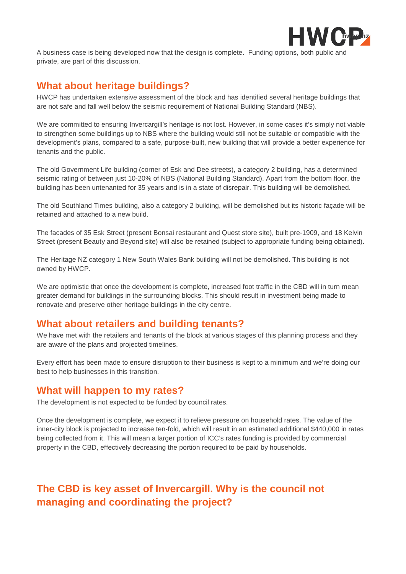

A business case is being developed now that the design is complete. Funding options, both public and private, are part of this discussion.

# **What about heritage buildings?**

HWCP has undertaken extensive assessment of the block and has identified several heritage buildings that are not safe and fall well below the seismic requirement of National Building Standard (NBS).

We are committed to ensuring Invercargill's heritage is not lost. However, in some cases it's simply not viable to strengthen some buildings up to NBS where the building would still not be suitable or compatible with the development's plans, compared to a safe, purpose-built, new building that will provide a better experience for tenants and the public.

The old Government Life building (corner of Esk and Dee streets), a category 2 building, has a determined seismic rating of between just 10-20% of NBS (National Building Standard). Apart from the bottom floor, the building has been untenanted for 35 years and is in a state of disrepair. This building will be demolished.

The old Southland Times building, also a category 2 building, will be demolished but its historic façade will be retained and attached to a new build.

The facades of 35 Esk Street (present Bonsai restaurant and Quest store site), built pre-1909, and 18 Kelvin Street (present Beauty and Beyond site) will also be retained (subject to appropriate funding being obtained).

The Heritage NZ category 1 New South Wales Bank building will not be demolished. This building is not owned by HWCP.

We are optimistic that once the development is complete, increased foot traffic in the CBD will in turn mean greater demand for buildings in the surrounding blocks. This should result in investment being made to renovate and preserve other heritage buildings in the city centre.

# **What about retailers and building tenants?**

We have met with the retailers and tenants of the block at various stages of this planning process and they are aware of the plans and projected timelines.

Every effort has been made to ensure disruption to their business is kept to a minimum and we're doing our best to help businesses in this transition.

#### **What will happen to my rates?**

The development is not expected to be funded by council rates.

Once the development is complete, we expect it to relieve pressure on household rates. The value of the inner-city block is projected to increase ten-fold, which will result in an estimated additional \$440,000 in rates being collected from it. This will mean a larger portion of ICC's rates funding is provided by commercial property in the CBD, effectively decreasing the portion required to be paid by households.

# **The CBD is key asset of Invercargill. Why is the council not managing and coordinating the project?**